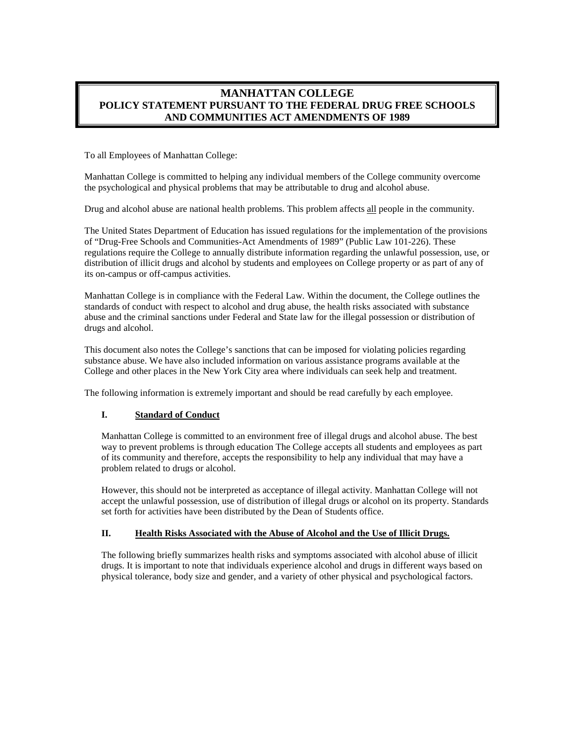## **MANHATTAN COLLEGE POLICY STATEMENT PURSUANT TO THE FEDERAL DRUG FREE SCHOOLS AND COMMUNITIES ACT AMENDMENTS OF 1989**

To all Employees of Manhattan College:

Manhattan College is committed to helping any individual members of the College community overcome the psychological and physical problems that may be attributable to drug and alcohol abuse.

Drug and alcohol abuse are national health problems. This problem affects all people in the community.

The United States Department of Education has issued regulations for the implementation of the provisions of "Drug-Free Schools and Communities-Act Amendments of 1989" (Public Law 101-226). These regulations require the College to annually distribute information regarding the unlawful possession, use, or distribution of illicit drugs and alcohol by students and employees on College property or as part of any of its on-campus or off-campus activities.

Manhattan College is in compliance with the Federal Law. Within the document, the College outlines the standards of conduct with respect to alcohol and drug abuse, the health risks associated with substance abuse and the criminal sanctions under Federal and State law for the illegal possession or distribution of drugs and alcohol.

This document also notes the College's sanctions that can be imposed for violating policies regarding substance abuse. We have also included information on various assistance programs available at the College and other places in the New York City area where individuals can seek help and treatment.

The following information is extremely important and should be read carefully by each employee.

## **I. Standard of Conduct**

Manhattan College is committed to an environment free of illegal drugs and alcohol abuse. The best way to prevent problems is through education The College accepts all students and employees as part of its community and therefore, accepts the responsibility to help any individual that may have a problem related to drugs or alcohol.

However, this should not be interpreted as acceptance of illegal activity. Manhattan College will not accept the unlawful possession, use of distribution of illegal drugs or alcohol on its property. Standards set forth for activities have been distributed by the Dean of Students office.

## **II. Health Risks Associated with the Abuse of Alcohol and the Use of Illicit Drugs.**

The following briefly summarizes health risks and symptoms associated with alcohol abuse of illicit drugs. It is important to note that individuals experience alcohol and drugs in different ways based on physical tolerance, body size and gender, and a variety of other physical and psychological factors.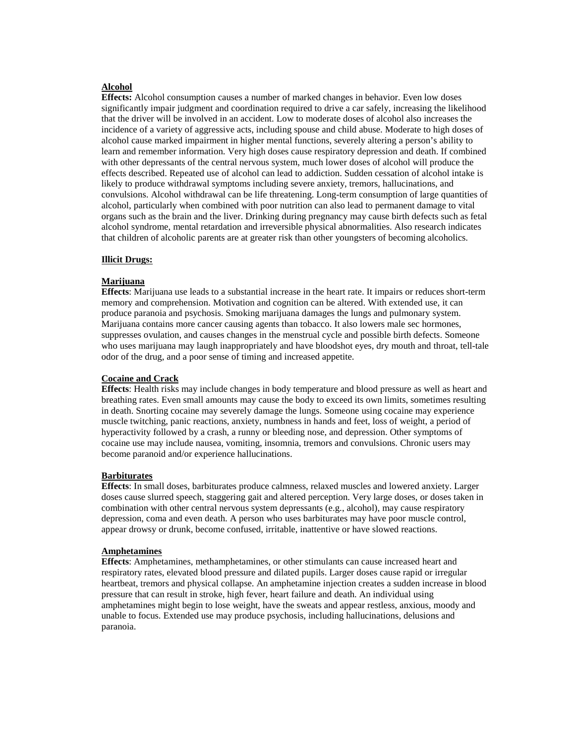## **Alcohol**

**Effects:** Alcohol consumption causes a number of marked changes in behavior. Even low doses significantly impair judgment and coordination required to drive a car safely, increasing the likelihood that the driver will be involved in an accident. Low to moderate doses of alcohol also increases the incidence of a variety of aggressive acts, including spouse and child abuse. Moderate to high doses of alcohol cause marked impairment in higher mental functions, severely altering a person's ability to learn and remember information. Very high doses cause respiratory depression and death. If combined with other depressants of the central nervous system, much lower doses of alcohol will produce the effects described. Repeated use of alcohol can lead to addiction. Sudden cessation of alcohol intake is likely to produce withdrawal symptoms including severe anxiety, tremors, hallucinations, and convulsions. Alcohol withdrawal can be life threatening. Long-term consumption of large quantities of alcohol, particularly when combined with poor nutrition can also lead to permanent damage to vital organs such as the brain and the liver. Drinking during pregnancy may cause birth defects such as fetal alcohol syndrome, mental retardation and irreversible physical abnormalities. Also research indicates that children of alcoholic parents are at greater risk than other youngsters of becoming alcoholics.

#### **Illicit Drugs:**

#### **Marijuana**

**Effects**: Marijuana use leads to a substantial increase in the heart rate. It impairs or reduces short-term memory and comprehension. Motivation and cognition can be altered. With extended use, it can produce paranoia and psychosis. Smoking marijuana damages the lungs and pulmonary system. Marijuana contains more cancer causing agents than tobacco. It also lowers male sec hormones, suppresses ovulation, and causes changes in the menstrual cycle and possible birth defects. Someone who uses marijuana may laugh inappropriately and have bloodshot eyes, dry mouth and throat, tell-tale odor of the drug, and a poor sense of timing and increased appetite.

#### **Cocaine and Crack**

**Effects**: Health risks may include changes in body temperature and blood pressure as well as heart and breathing rates. Even small amounts may cause the body to exceed its own limits, sometimes resulting in death. Snorting cocaine may severely damage the lungs. Someone using cocaine may experience muscle twitching, panic reactions, anxiety, numbness in hands and feet, loss of weight, a period of hyperactivity followed by a crash, a runny or bleeding nose, and depression. Other symptoms of cocaine use may include nausea, vomiting, insomnia, tremors and convulsions. Chronic users may become paranoid and/or experience hallucinations.

#### **Barbiturates**

**Effects**: In small doses, barbiturates produce calmness, relaxed muscles and lowered anxiety. Larger doses cause slurred speech, staggering gait and altered perception. Very large doses, or doses taken in combination with other central nervous system depressants (e.g., alcohol), may cause respiratory depression, coma and even death. A person who uses barbiturates may have poor muscle control, appear drowsy or drunk, become confused, irritable, inattentive or have slowed reactions.

#### **Amphetamines**

**Effects**: Amphetamines, methamphetamines, or other stimulants can cause increased heart and respiratory rates, elevated blood pressure and dilated pupils. Larger doses cause rapid or irregular heartbeat, tremors and physical collapse. An amphetamine injection creates a sudden increase in blood pressure that can result in stroke, high fever, heart failure and death. An individual using amphetamines might begin to lose weight, have the sweats and appear restless, anxious, moody and unable to focus. Extended use may produce psychosis, including hallucinations, delusions and paranoia.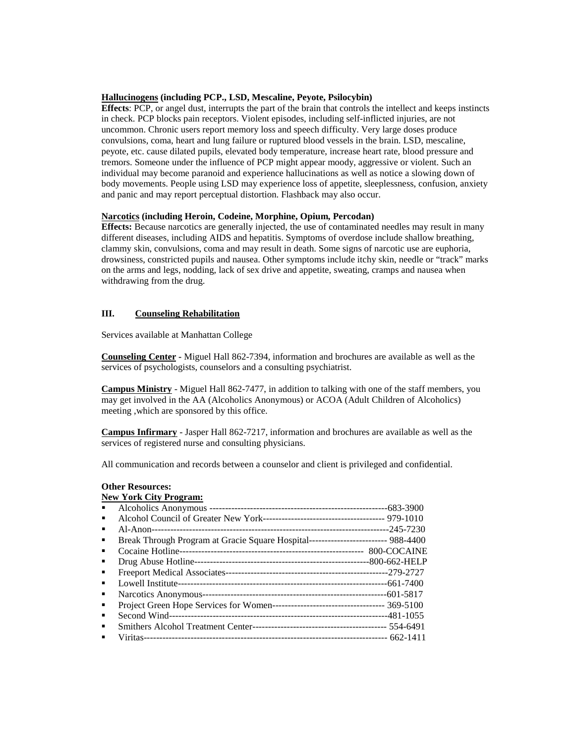#### **Hallucinogens (including PCP., LSD, Mescaline, Peyote, Psilocybin)**

**Effects**: PCP, or angel dust, interrupts the part of the brain that controls the intellect and keeps instincts in check. PCP blocks pain receptors. Violent episodes, including self-inflicted injuries, are not uncommon. Chronic users report memory loss and speech difficulty. Very large doses produce convulsions, coma, heart and lung failure or ruptured blood vessels in the brain. LSD, mescaline, peyote, etc. cause dilated pupils, elevated body temperature, increase heart rate, blood pressure and tremors. Someone under the influence of PCP might appear moody, aggressive or violent. Such an individual may become paranoid and experience hallucinations as well as notice a slowing down of body movements. People using LSD may experience loss of appetite, sleeplessness, confusion, anxiety and panic and may report perceptual distortion. Flashback may also occur.

#### **Narcotics (including Heroin, Codeine, Morphine, Opium, Percodan)**

**Effects:** Because narcotics are generally injected, the use of contaminated needles may result in many different diseases, including AIDS and hepatitis. Symptoms of overdose include shallow breathing, clammy skin, convulsions, coma and may result in death. Some signs of narcotic use are euphoria, drowsiness, constricted pupils and nausea. Other symptoms include itchy skin, needle or "track" marks on the arms and legs, nodding, lack of sex drive and appetite, sweating, cramps and nausea when withdrawing from the drug.

### **III. Counseling Rehabilitation**

Services available at Manhattan College

**Counseling Center -** Miguel Hall 862-7394, information and brochures are available as well as the services of psychologists, counselors and a consulting psychiatrist.

**Campus Ministry** - Miguel Hall 862-7477, in addition to talking with one of the staff members, you may get involved in the AA (Alcoholics Anonymous) or ACOA (Adult Children of Alcoholics) meeting ,which are sponsored by this office.

**Campus Infirmary** - Jasper Hall 862-7217, information and brochures are available as well as the services of registered nurse and consulting physicians.

All communication and records between a counselor and client is privileged and confidential.

## **Other Resources:**

# **New York City Program:**

| ٠ |                                                                                    |  |
|---|------------------------------------------------------------------------------------|--|
| ٠ | Break Through Program at Gracie Square Hospital-------------------------- 988-4400 |  |
|   |                                                                                    |  |
| ٠ |                                                                                    |  |
| ٠ |                                                                                    |  |
|   |                                                                                    |  |
| ٠ |                                                                                    |  |
| ٠ |                                                                                    |  |
| ٠ |                                                                                    |  |
| ٠ |                                                                                    |  |
|   |                                                                                    |  |
|   |                                                                                    |  |